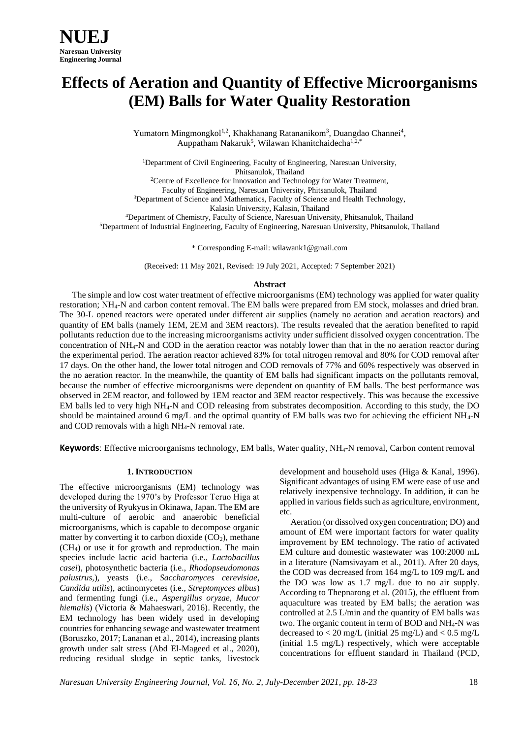# **Effects of Aeration and Quantity of Effective Microorganisms (EM) Balls for Water Quality Restoration**

Yumatorn Mingmongkol<sup>1,2</sup>, Khakhanang Ratananikom<sup>3</sup>, Duangdao Channei<sup>4</sup>, Auppatham Nakaruk<sup>5</sup>, Wilawan Khanitchaidecha<sup>1,2,\*</sup>

<sup>1</sup>Department of Civil Engineering, Faculty of Engineering, Naresuan University, Phitsanulok, Thailand

<sup>2</sup>Centre of Excellence for Innovation and Technology for Water Treatment, Faculty of Engineering, Naresuan University, Phitsanulok, Thailand <sup>3</sup>Department of Science and Mathematics, Faculty of Science and Health Technology, Kalasin University, Kalasin, Thailand

<sup>4</sup>Department of Chemistry, Faculty of Science, Naresuan University, Phitsanulok, Thailand <sup>5</sup>Department of Industrial Engineering, Faculty of Engineering, Naresuan University, Phitsanulok, Thailand

\* Corresponding E-mail[: wilawank1@gmail.com](mailto:wilawank1@gmail.com)

(Received: 11 May 2021, Revised: 19 July 2021, Accepted: 7 September 2021)

#### **Abstract**

The simple and low cost water treatment of effective microorganisms (EM) technology was applied for water quality restoration; NH4-N and carbon content removal. The EM balls were prepared from EM stock, molasses and dried bran. The 30-L opened reactors were operated under different air supplies (namely no aeration and aeration reactors) and quantity of EM balls (namely 1EM, 2EM and 3EM reactors). The results revealed that the aeration benefited to rapid pollutants reduction due to the increasing microorganisms activity under sufficient dissolved oxygen concentration. The concentration of NH4-N and COD in the aeration reactor was notably lower than that in the no aeration reactor during the experimental period. The aeration reactor achieved 83% for total nitrogen removal and 80% for COD removal after 17 days. On the other hand, the lower total nitrogen and COD removals of 77% and 60% respectively was observed in the no aeration reactor. In the meanwhile, the quantity of EM balls had significant impacts on the pollutants removal, because the number of effective microorganisms were dependent on quantity of EM balls. The best performance was observed in 2EM reactor, and followed by 1EM reactor and 3EM reactor respectively. This was because the excessive EM balls led to very high NH4-N and COD releasing from substrates decomposition. According to this study, the DO should be maintained around 6 mg/L and the optimal quantity of EM balls was two for achieving the efficient  $NH_4-N$ and COD removals with a high NH4-N removal rate.

**Keywords**: Effective microorganisms technology, EM balls, Water quality, NH<sub>4</sub>-N removal, Carbon content removal

#### **1. INTRODUCTION**

The effective microorganisms (EM) technology was developed during the 1970's by Professor Teruo Higa at the university of Ryukyus in Okinawa, Japan. The EM are multi-culture of aerobic and anaerobic beneficial microorganisms, which is capable to decompose organic matter by converting it to carbon dioxide  $(CO<sub>2</sub>)$ , methane (CH4) or use it for growth and reproduction. The main species include lactic acid bacteria (i.e., *Lactobacillus casei*), photosynthetic bacteria (i.e., *Rhodopseudomonas palustrus,*), yeasts (i.e., *Saccharomyces cerevisiae, Candida utilis*), actinomycetes (i.e., *Streptomyces albus*) and fermenting fungi (i.e., *Aspergillus oryzae, Mucor hiemalis*) (Victoria & Mahaeswari, 2016). Recently, the EM technology has been widely used in developing countries for enhancing sewage and wastewater treatment (Boruszko, 2017; Lananan et al., 2014), increasing plants growth under salt stress (Abd El-Mageed et al., 2020), reducing residual sludge in septic tanks, livestock

development and household uses (Higa & Kanal, 1996). Significant advantages of using EM were ease of use and relatively inexpensive technology. In addition, it can be applied in various fields such as agriculture, environment, etc.

 Aeration (or dissolved oxygen concentration; DO) and amount of EM were important factors for water quality improvement by EM technology. The ratio of activated EM culture and domestic wastewater was 100:2000 mL in a literature (Namsivayam et al., 2011). After 20 days, the COD was decreased from 164 mg/L to 109 mg/L and the DO was low as 1.7 mg/L due to no air supply. According to Thepnarong et al. (2015), the effluent from aquaculture was treated by EM balls; the aeration was controlled at 2.5 L/min and the quantity of EM balls was two. The organic content in term of BOD and  $NH<sub>4</sub>-N$  was decreased to  $<$  20 mg/L (initial 25 mg/L) and  $<$  0.5 mg/L (initial 1.5 mg/L) respectively, which were acceptable concentrations for effluent standard in Thailand (PCD,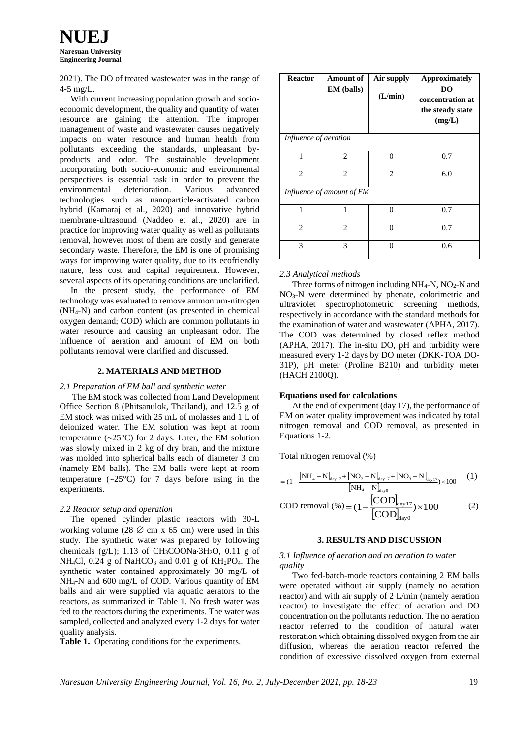**NUEJ Naresuan University Engineering Journal**

2021). The DO of treated wastewater was in the range of 4-5 mg/L.

 With current increasing population growth and socioeconomic development, the quality and quantity of water resource are gaining the attention. The improper management of waste and wastewater causes negatively impacts on water resource and human health from pollutants exceeding the standards, unpleasant byproducts and odor. The sustainable development incorporating both socio-economic and environmental perspectives is essential task in order to prevent the environmental deterioration. Various advanced technologies such as nanoparticle-activated carbon hybrid (Kamaraj et al., 2020) and innovative hybrid membrane-ultrasound (Naddeo et al., 2020) are in practice for improving water quality as well as pollutants removal, however most of them are costly and generate secondary waste. Therefore, the EM is one of promising ways for improving water quality, due to its ecofriendly nature, less cost and capital requirement. However, several aspects of its operating conditions are unclarified.

 In the present study, the performance of EM technology was evaluated to remove ammonium-nitrogen (NH4-N) and carbon content (as presented in chemical oxygen demand; COD) which are common pollutants in water resource and causing an unpleasant odor. The influence of aeration and amount of EM on both pollutants removal were clarified and discussed.

## **2. MATERIALS AND METHOD**

#### *2.1 Preparation of EM ball and synthetic water*

The EM stock was collected from Land Development Office Section 8 (Phitsanulok, Thailand), and 12.5 g of EM stock was mixed with 25 mL of molasses and 1 L of deionized water. The EM solution was kept at room temperature  $(\sim 25^{\circ}C)$  for 2 days. Later, the EM solution was slowly mixed in 2 kg of dry bran, and the mixture was molded into spherical balls each of diameter 3 cm (namely EM balls). The EM balls were kept at room temperature  $(\sim 25^{\circ}C)$  for 7 days before using in the experiments.

## *2.2 Reactor setup and operation*

 The opened cylinder plastic reactors with 30-L working volume (28  $\varnothing$  cm x 65 cm) were used in this study. The synthetic water was prepared by following chemicals (g/L); 1.13 of  $CH<sub>3</sub>COONa·3H<sub>2</sub>O$ , 0.11 g of NH<sub>4</sub>Cl, 0.24 g of NaHCO<sub>3</sub> and 0.01 g of  $KH_2PO_4$ . The synthetic water contained approximately 30 mg/L of NH4-N and 600 mg/L of COD. Various quantity of EM balls and air were supplied via aquatic aerators to the reactors, as summarized in Table 1. No fresh water was fed to the reactors during the experiments. The water was sampled, collected and analyzed every 1-2 days for water quality analysis.

**Table 1.** Operating conditions for the experiments.

| <b>Reactor</b>            | <b>Amount of</b><br><b>EM</b> (balls) | Air supply<br>(L/min) | <b>Approximately</b><br>DO<br>concentration at<br>the steady state<br>(mg/L) |
|---------------------------|---------------------------------------|-----------------------|------------------------------------------------------------------------------|
| Influence of aeration     |                                       |                       |                                                                              |
| 1                         | $\overline{c}$                        | 0                     | 0.7                                                                          |
| 2                         | $\overline{c}$                        | $\overline{2}$        | 6.0                                                                          |
| Influence of amount of EM |                                       |                       |                                                                              |
| $\mathbf{1}$              | 1                                     | $\theta$              | 0.7                                                                          |
| $\overline{c}$            | $\mathcal{D}_{\mathcal{L}}$           | $\Omega$              | 0.7                                                                          |
| 3                         | 3                                     | 0                     | 0.6                                                                          |

### *2.3 Analytical methods*

Three forms of nitrogen including  $NH_4$ -N,  $NO_2$ -N and NO3-N were determined by phenate, colorimetric and ultraviolet spectrophotometric screening methods, respectively in accordance with the standard methods for the examination of water and wastewater (APHA, 2017). The COD was determined by closed reflex method (APHA, 2017). The in-situ DO, pH and turbidity were measured every 1-2 days by DO meter (DKK-TOA DO-31P), pH meter (Proline B210) and turbidity meter (HACH 2100Q).

#### **Equations used for calculations**

At the end of experiment (day 17), the performance of EM on water quality improvement was indicated by total nitrogen removal and COD removal, as presented in Equations 1-2.

Total nitrogen removal (%)

$$
= (1 - \frac{[NH_4 - N]_{day17} + [NO_2 - N]_{day17} + [NO_3 - N]_{day17}}{[NH_4 - N]_{day0}}) \times 100
$$
 (1)

$$
COD \text{ removal } (\% ) = (1 - \frac{[COD]_{\text{day17}}}{[COD]_{\text{day0}}}) \times 100 \tag{2}
$$

#### **3. RESULTS AND DISCUSSION**

### *3.1 Influence of aeration and no aeration to water quality*

Two fed-batch-mode reactors containing 2 EM balls were operated without air supply (namely no aeration reactor) and with air supply of 2 L/min (namely aeration reactor) to investigate the effect of aeration and DO concentration on the pollutants reduction. The no aeration reactor referred to the condition of natural water restoration which obtaining dissolved oxygen from the air diffusion, whereas the aeration reactor referred the condition of excessive dissolved oxygen from external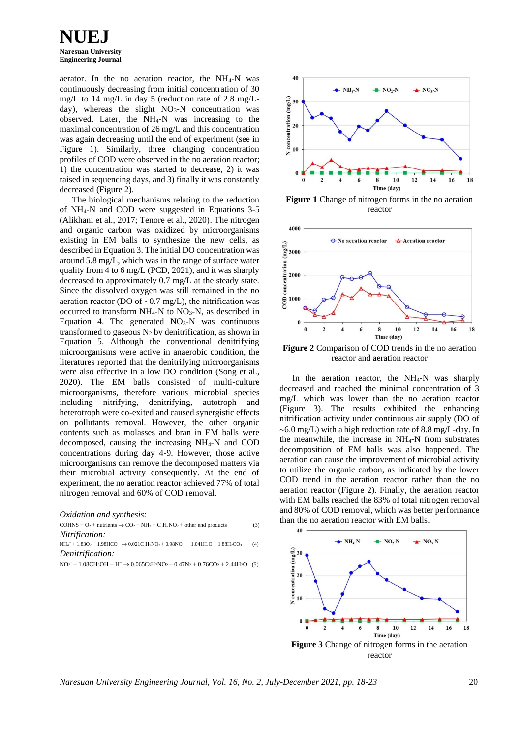**NUEJ Naresuan University Engineering Journal**

aerator. In the no aeration reactor, the NH4-N was continuously decreasing from initial concentration of 30 mg/L to 14 mg/L in day 5 (reduction rate of 2.8 mg/Lday), whereas the slight NO<sub>3</sub>-N concentration was observed. Later, the NH4-N was increasing to the maximal concentration of 26 mg/L and this concentration was again decreasing until the end of experiment (see in Figure 1). Similarly, three changing concentration profiles of COD were observed in the no aeration reactor; 1) the concentration was started to decrease, 2) it was raised in sequencing days, and 3) finally it was constantly decreased (Figure 2).

The biological mechanisms relating to the reduction of NH4-N and COD were suggested in Equations 3-5 (Alikhani et al., 2017; Tenore et al., 2020). The nitrogen and organic carbon was oxidized by microorganisms existing in EM balls to synthesize the new cells, as described in Equation 3. The initial DO concentration was around 5.8 mg/L, which was in the range of surface water quality from 4 to 6 mg/L (PCD, 2021), and it was sharply decreased to approximately 0.7 mg/L at the steady state. Since the dissolved oxygen was still remained in the no aeration reactor (DO of  $\sim 0.7$  mg/L), the nitrification was occurred to transform  $NH_4-N$  to  $NO_3-N$ , as described in Equation 4. The generated  $NO<sub>3</sub>-N$  was continuous transformed to gaseous  $N_2$  by denitrification, as shown in Equation 5. Although the conventional denitrifying microorganisms were active in anaerobic condition, the literatures reported that the denitrifying microorganisms were also effective in a low DO condition (Song et al., 2020). The EM balls consisted of multi-culture microorganisms, therefore various microbial species including nitrifying, denitrifying, autotroph and heterotroph were co-exited and caused synergistic effects on pollutants removal. However, the other organic contents such as molasses and bran in EM balls were decomposed, causing the increasing NH4-N and COD concentrations during day 4-9. However, those active microorganisms can remove the decomposed matters via their microbial activity consequently. At the end of experiment, the no aeration reactor achieved 77% of total nitrogen removal and 60% of COD removal.

*Oxidation and synthesis:*

 $COHNS + O_2 +$  nutrients  $\rightarrow CO_2 + NH_3 + C_5H_7NO_2 +$  other end products (3) *Nitrification:*

 $NH_4^+ + 1.83O_2 + 1.98HCO_3 \rightarrow 0.021C_5H_7NO_2 + 0.98NO_3 + 1.041H_2O + 1.88H_2CO_3$  (4) *Denitrification:*

 $NO_3$ <sup>+</sup>  $1.08CH_3OH + H^+ \rightarrow 0.065C_5H_7NO_2 + 0.47N_2 + 0.76CO_2 + 2.44H_2O$  (5)



**Figure 1** Change of nitrogen forms in the no aeration reactor



**Figure 2** Comparison of COD trends in the no aeration reactor and aeration reactor

In the aeration reactor, the  $NH_4-N$  was sharply decreased and reached the minimal concentration of 3 mg/L which was lower than the no aeration reactor (Figure 3). The results exhibited the enhancing nitrification activity under continuous air supply (DO of  $\sim 6.0$  mg/L) with a high reduction rate of 8.8 mg/L-day. In the meanwhile, the increase in NH4-N from substrates decomposition of EM balls was also happened. The aeration can cause the improvement of microbial activity to utilize the organic carbon, as indicated by the lower COD trend in the aeration reactor rather than the no aeration reactor (Figure 2). Finally, the aeration reactor with EM balls reached the 83% of total nitrogen removal and 80% of COD removal, which was better performance than the no aeration reactor with EM balls.



*Naresuan University Engineering Journal, Vol. 16, No. 2, July-December 2021, pp. 18-23* 20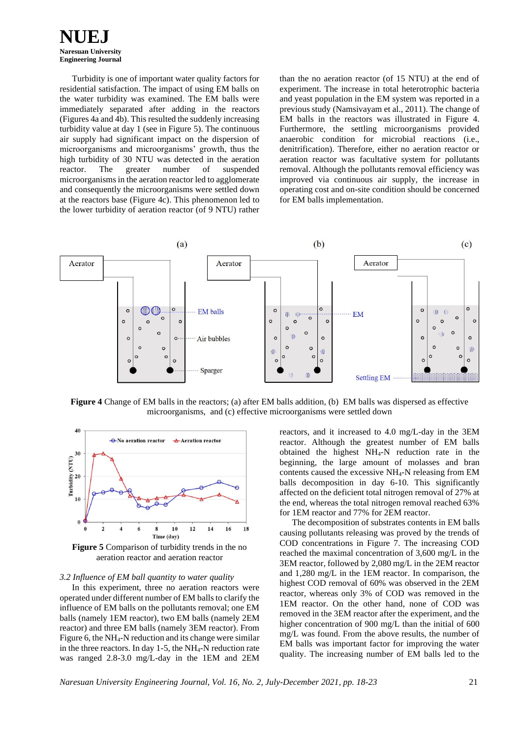

Turbidity is one of important water quality factors for residential satisfaction. The impact of using EM balls on the water turbidity was examined. The EM balls were immediately separated after adding in the reactors (Figures 4a and 4b). This resulted the suddenly increasing turbidity value at day 1 (see in Figure 5). The continuous air supply had significant impact on the dispersion of microorganisms and microorganisms' growth, thus the high turbidity of 30 NTU was detected in the aeration reactor. The greater number of suspended microorganisms in the aeration reactor led to agglomerate and consequently the microorganisms were settled down at the reactors base (Figure 4c). This phenomenon led to the lower turbidity of aeration reactor (of 9 NTU) rather

than the no aeration reactor (of 15 NTU) at the end of experiment. The increase in total heterotrophic bacteria and yeast population in the EM system was reported in a previous study (Namsivayam et al., 2011). The change of EM balls in the reactors was illustrated in Figure 4. Furthermore, the settling microorganisms provided anaerobic condition for microbial reactions (i.e., denitrification). Therefore, either no aeration reactor or aeration reactor was facultative system for pollutants removal. Although the pollutants removal efficiency was improved via continuous air supply, the increase in operating cost and on-site condition should be concerned for EM balls implementation.



**Figure 4** Change of EM balls in the reactors; (a) after EM balls addition, (b) EM balls was dispersed as effective microorganisms, and (c) effective microorganisms were settled down



**Figure 5** Comparison of turbidity trends in the no aeration reactor and aeration reactor

#### *3.2 Influence of EM ball quantity to water quality*

In this experiment, three no aeration reactors were operated under different number of EM balls to clarify the influence of EM balls on the pollutants removal; one EM balls (namely 1EM reactor), two EM balls (namely 2EM reactor) and three EM balls (namely 3EM reactor). From Figure 6, the NH4-N reduction and its change were similar in the three reactors. In day 1-5, the NH4-N reduction rate was ranged 2.8-3.0 mg/L-day in the 1EM and 2EM

reactors, and it increased to 4.0 mg/L-day in the 3EM reactor. Although the greatest number of EM balls obtained the highest NH4-N reduction rate in the beginning, the large amount of molasses and bran contents caused the excessive NH4-N releasing from EM balls decomposition in day 6-10. This significantly affected on the deficient total nitrogen removal of 27% at the end, whereas the total nitrogen removal reached 63% for 1EM reactor and 77% for 2EM reactor.

The decomposition of substrates contents in EM balls causing pollutants releasing was proved by the trends of COD concentrations in Figure 7. The increasing COD reached the maximal concentration of 3,600 mg/L in the 3EM reactor, followed by 2,080 mg/L in the 2EM reactor and 1,280 mg/L in the 1EM reactor. In comparison, the highest COD removal of 60% was observed in the 2EM reactor, whereas only 3% of COD was removed in the 1EM reactor. On the other hand, none of COD was removed in the 3EM reactor after the experiment, and the higher concentration of 900 mg/L than the initial of 600 mg/L was found. From the above results, the number of EM balls was important factor for improving the water quality. The increasing number of EM balls led to the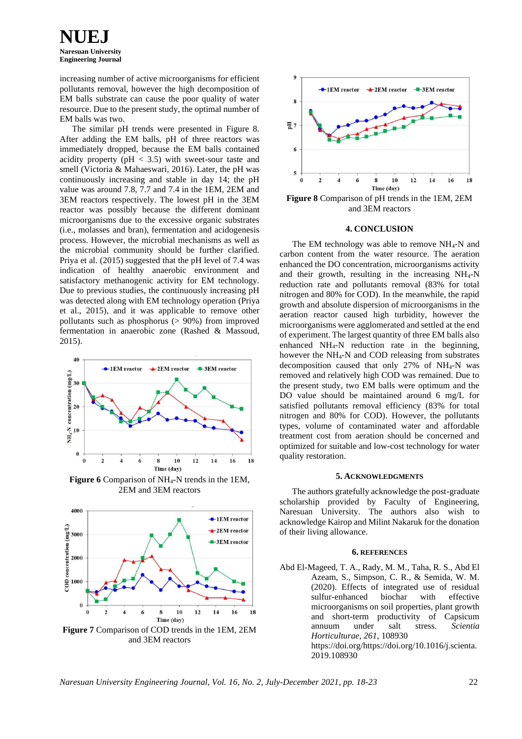**NUEJ Naresuan University Engineering Journal**

increasing number of active microorganisms for efficient pollutants removal, however the high decomposition of EM balls substrate can cause the poor quality of water resource. Due to the present study, the optimal number of EM balls was two.

The similar pH trends were presented in Figure 8. After adding the EM balls, pH of three reactors was immediately dropped, because the EM balls contained acidity property ( $pH < 3.5$ ) with sweet-sour taste and smell (Victoria & Mahaeswari, 2016). Later, the pH was continuously increasing and stable in day 14; the pH value was around 7.8, 7.7 and 7.4 in the 1EM, 2EM and 3EM reactors respectively. The lowest pH in the 3EM reactor was possibly because the different dominant microorganisms due to the excessive organic substrates (i.e., molasses and bran), fermentation and acidogenesis process. However, the microbial mechanisms as well as the microbial community should be further clarified. Priya et al. (2015) suggested that the pH level of 7.4 was indication of healthy anaerobic environment and satisfactory methanogenic activity for EM technology. Due to previous studies, the continuously increasing pH was detected along with EM technology operation (Priya et al., 2015), and it was applicable to remove other pollutants such as phosphorus (> 90%) from improved fermentation in anaerobic zone (Rashed & Massoud, 2015).



**Figure 6** Comparison of NH4-N trends in the 1EM, 2EM and 3EM reactors



**Figure 7** Comparison of COD trends in the 1EM, 2EM and 3EM reactors



and 3EM reactors

#### **4. CONCLUSION**

The EM technology was able to remove NH4-N and carbon content from the water resource. The aeration enhanced the DO concentration, microorganisms activity and their growth, resulting in the increasing  $NH_4-N$ reduction rate and pollutants removal (83% for total nitrogen and 80% for COD). In the meanwhile, the rapid growth and absolute dispersion of microorganisms in the aeration reactor caused high turbidity, however the microorganisms were agglomerated and settled at the end of experiment. The largest quantity of three EM balls also enhanced NH4-N reduction rate in the beginning, however the NH4-N and COD releasing from substrates decomposition caused that only 27% of NH4-N was removed and relatively high COD was remained. Due to the present study, two EM balls were optimum and the DO value should be maintained around 6 mg/L for satisfied pollutants removal efficiency (83% for total nitrogen and 80% for COD). However, the pollutants types, volume of contaminated water and affordable treatment cost from aeration should be concerned and optimized for suitable and low-cost technology for water quality restoration.

## **5. ACKNOWLEDGMENTS**

The authors gratefully acknowledge the post-graduate scholarship provided by Faculty of Engineering, Naresuan University. The authors also wish to acknowledge Kairop and Milint Nakaruk for the donation of their living allowance.

#### **6. REFERENCES**

Abd El-Mageed, T. A., Rady, M. M., Taha, R. S., Abd El Azeam, S., Simpson, C. R., & Semida, W. M. (2020). Effects of integrated use of residual sulfur-enhanced biochar with effective microorganisms on soil properties, plant growth and short-term productivity of Capsicum annuum under salt stress. *Scientia Horticulturae*, *261*, 108930 https://doi.org/https://doi.org/10.1016/j.scienta. 2019.108930